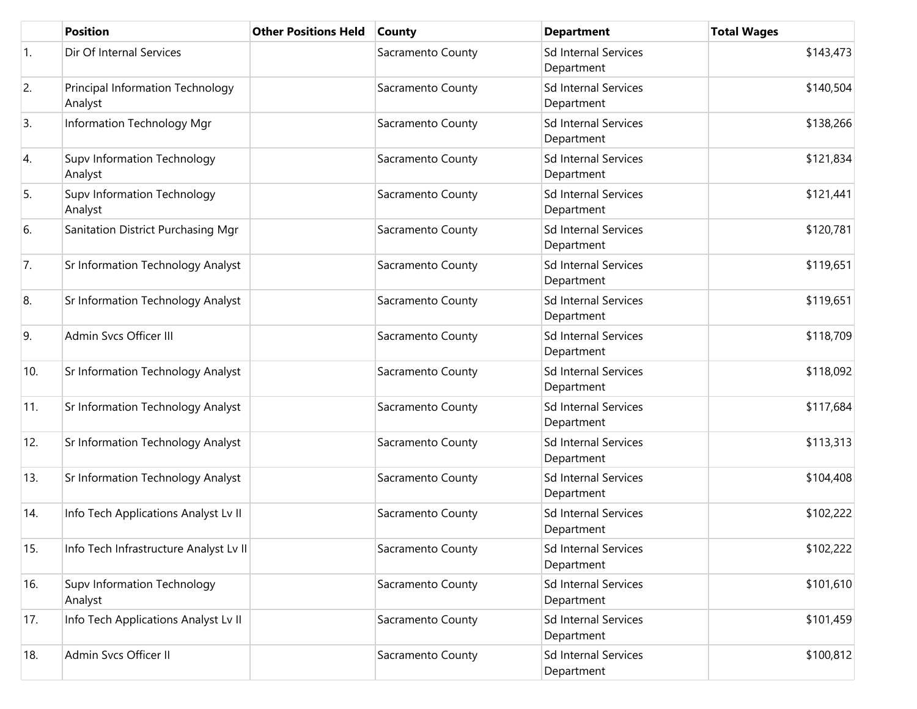|     | <b>Position</b>                             | <b>Other Positions Held</b> | <b>County</b>     | <b>Department</b>                         | <b>Total Wages</b> |
|-----|---------------------------------------------|-----------------------------|-------------------|-------------------------------------------|--------------------|
| 1.  | Dir Of Internal Services                    |                             | Sacramento County | <b>Sd Internal Services</b><br>Department | \$143,473          |
| 2.  | Principal Information Technology<br>Analyst |                             | Sacramento County | <b>Sd Internal Services</b><br>Department | \$140,504          |
| 3.  | Information Technology Mgr                  |                             | Sacramento County | <b>Sd Internal Services</b><br>Department | \$138,266          |
| 4.  | Supv Information Technology<br>Analyst      |                             | Sacramento County | <b>Sd Internal Services</b><br>Department | \$121,834          |
| 5.  | Supv Information Technology<br>Analyst      |                             | Sacramento County | <b>Sd Internal Services</b><br>Department | \$121,441          |
| 6.  | Sanitation District Purchasing Mgr          |                             | Sacramento County | <b>Sd Internal Services</b><br>Department | \$120,781          |
| 7.  | Sr Information Technology Analyst           |                             | Sacramento County | Sd Internal Services<br>Department        | \$119,651          |
| 8.  | Sr Information Technology Analyst           |                             | Sacramento County | <b>Sd Internal Services</b><br>Department | \$119,651          |
| 9.  | <b>Admin Sycs Officer III</b>               |                             | Sacramento County | Sd Internal Services<br>Department        | \$118,709          |
| 10. | Sr Information Technology Analyst           |                             | Sacramento County | <b>Sd Internal Services</b><br>Department | \$118,092          |
| 11. | Sr Information Technology Analyst           |                             | Sacramento County | <b>Sd Internal Services</b><br>Department | \$117,684          |
| 12. | Sr Information Technology Analyst           |                             | Sacramento County | Sd Internal Services<br>Department        | \$113,313          |
| 13. | Sr Information Technology Analyst           |                             | Sacramento County | <b>Sd Internal Services</b><br>Department | \$104,408          |
| 14. | Info Tech Applications Analyst Lv II        |                             | Sacramento County | Sd Internal Services<br>Department        | \$102,222          |
| 15. | Info Tech Infrastructure Analyst Lv II      |                             | Sacramento County | <b>Sd Internal Services</b><br>Department | \$102,222          |
| 16. | Supv Information Technology<br>Analyst      |                             | Sacramento County | Sd Internal Services<br>Department        | \$101,610          |
| 17. | Info Tech Applications Analyst Lv II        |                             | Sacramento County | <b>Sd Internal Services</b><br>Department | \$101,459          |
| 18. | Admin Svcs Officer II                       |                             | Sacramento County | <b>Sd Internal Services</b><br>Department | \$100,812          |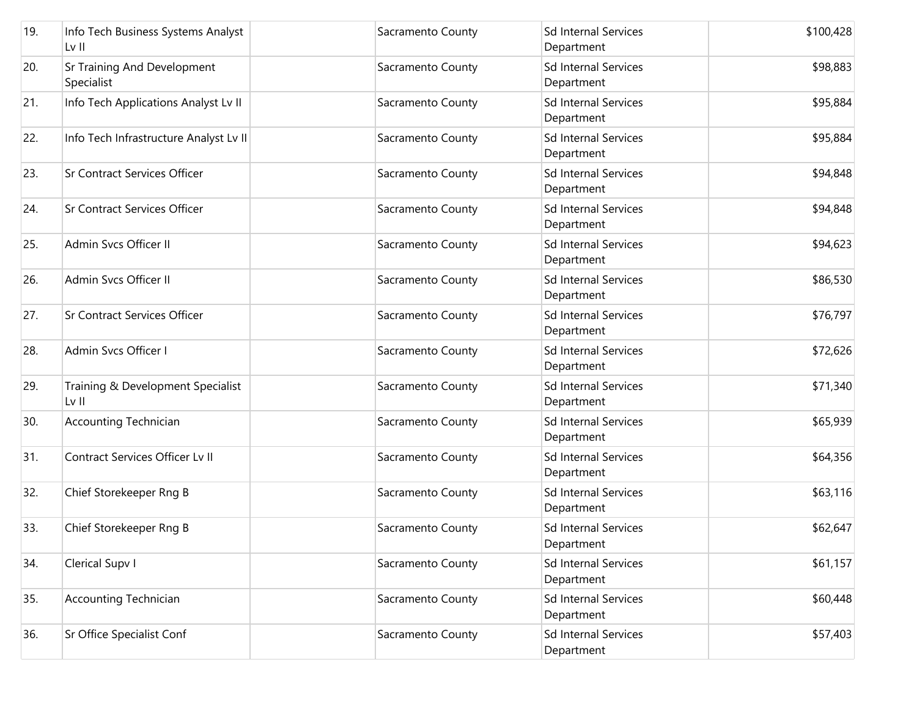| 19. | Info Tech Business Systems Analyst<br>Lv II | Sacramento County | <b>Sd Internal Services</b><br>Department | \$100,428 |
|-----|---------------------------------------------|-------------------|-------------------------------------------|-----------|
| 20. | Sr Training And Development<br>Specialist   | Sacramento County | <b>Sd Internal Services</b><br>Department | \$98,883  |
| 21. | Info Tech Applications Analyst Lv II        | Sacramento County | <b>Sd Internal Services</b><br>Department | \$95,884  |
| 22. | Info Tech Infrastructure Analyst Lv II      | Sacramento County | <b>Sd Internal Services</b><br>Department | \$95,884  |
| 23. | <b>Sr Contract Services Officer</b>         | Sacramento County | <b>Sd Internal Services</b><br>Department | \$94,848  |
| 24. | <b>Sr Contract Services Officer</b>         | Sacramento County | <b>Sd Internal Services</b><br>Department | \$94,848  |
| 25. | Admin Svcs Officer II                       | Sacramento County | <b>Sd Internal Services</b><br>Department | \$94,623  |
| 26. | Admin Svcs Officer II                       | Sacramento County | <b>Sd Internal Services</b><br>Department | \$86,530  |
| 27. | <b>Sr Contract Services Officer</b>         | Sacramento County | Sd Internal Services<br>Department        | \$76,797  |
| 28. | Admin Svcs Officer I                        | Sacramento County | <b>Sd Internal Services</b><br>Department | \$72,626  |
| 29. | Training & Development Specialist<br>Lv II  | Sacramento County | <b>Sd Internal Services</b><br>Department | \$71,340  |
| 30. | <b>Accounting Technician</b>                | Sacramento County | <b>Sd Internal Services</b><br>Department | \$65,939  |
| 31. | Contract Services Officer Lv II             | Sacramento County | <b>Sd Internal Services</b><br>Department | \$64,356  |
| 32. | Chief Storekeeper Rng B                     | Sacramento County | <b>Sd Internal Services</b><br>Department | \$63,116  |
| 33. | Chief Storekeeper Rng B                     | Sacramento County | Sd Internal Services<br>Department        | \$62,647  |
| 34. | Clerical Supv I                             | Sacramento County | <b>Sd Internal Services</b><br>Department | \$61,157  |
| 35. | <b>Accounting Technician</b>                | Sacramento County | <b>Sd Internal Services</b><br>Department | \$60,448  |
| 36. | Sr Office Specialist Conf                   | Sacramento County | <b>Sd Internal Services</b><br>Department | \$57,403  |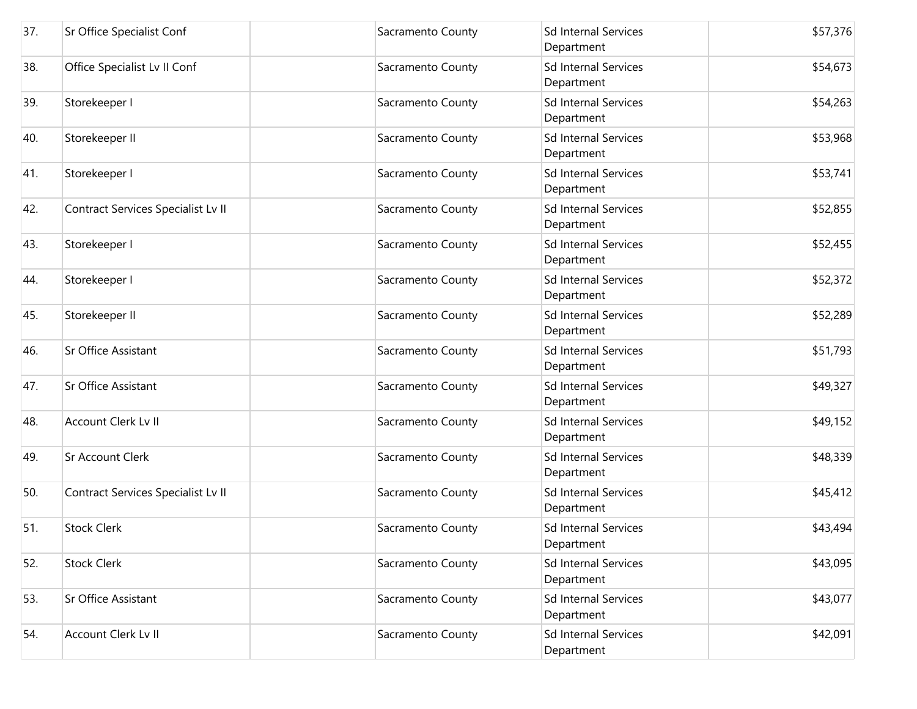| 37. | Sr Office Specialist Conf          | Sacramento County | Sd Internal Services<br>Department        | \$57,376 |
|-----|------------------------------------|-------------------|-------------------------------------------|----------|
| 38. | Office Specialist Lv II Conf       | Sacramento County | <b>Sd Internal Services</b><br>Department | \$54,673 |
| 39. | Storekeeper I                      | Sacramento County | Sd Internal Services<br>Department        | \$54,263 |
| 40. | Storekeeper II                     | Sacramento County | Sd Internal Services<br>Department        | \$53,968 |
| 41. | Storekeeper I                      | Sacramento County | <b>Sd Internal Services</b><br>Department | \$53,741 |
| 42. | Contract Services Specialist Lv II | Sacramento County | <b>Sd Internal Services</b><br>Department | \$52,855 |
| 43. | Storekeeper I                      | Sacramento County | <b>Sd Internal Services</b><br>Department | \$52,455 |
| 44. | Storekeeper I                      | Sacramento County | <b>Sd Internal Services</b><br>Department | \$52,372 |
| 45. | Storekeeper II                     | Sacramento County | Sd Internal Services<br>Department        | \$52,289 |
| 46. | Sr Office Assistant                | Sacramento County | Sd Internal Services<br>Department        | \$51,793 |
| 47. | Sr Office Assistant                | Sacramento County | Sd Internal Services<br>Department        | \$49,327 |
| 48. | Account Clerk Lv II                | Sacramento County | <b>Sd Internal Services</b><br>Department | \$49,152 |
| 49. | Sr Account Clerk                   | Sacramento County | <b>Sd Internal Services</b><br>Department | \$48,339 |
| 50. | Contract Services Specialist Lv II | Sacramento County | <b>Sd Internal Services</b><br>Department | \$45,412 |
| 51. | <b>Stock Clerk</b>                 | Sacramento County | <b>Sd Internal Services</b><br>Department | \$43,494 |
| 52. | <b>Stock Clerk</b>                 | Sacramento County | <b>Sd Internal Services</b><br>Department | \$43,095 |
| 53. | Sr Office Assistant                | Sacramento County | <b>Sd Internal Services</b><br>Department | \$43,077 |
| 54. | Account Clerk Lv II                | Sacramento County | <b>Sd Internal Services</b><br>Department | \$42,091 |